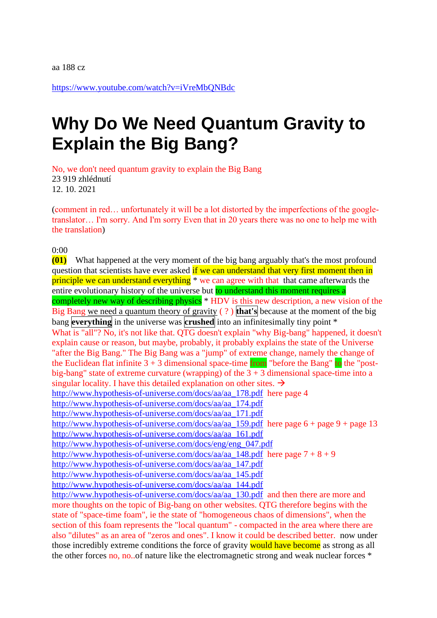<https://www.youtube.com/watch?v=iVreMbQNBdc>

## **Why Do We Need Quantum Gravity to Explain the Big Bang?**

No, we don't need quantum gravity to explain the Big Bang 23 919 zhlédnutí 12. 10. 2021

(comment in red… unfortunately it will be a lot distorted by the imperfections of the googletranslator… I'm sorry. And I'm sorry Even that in 20 years there was no one to help me with the translation)

0:00

**(01)** What happened at the very moment of the big bang arguably that's the most profound question that scientists have ever asked if we can understand that very first moment then in principle we can understand everything \* we can agree with that that came afterwards the entire evolutionary history of the universe but to understand this moment requires a completely new way of describing physics \* HDV is this new description, a new vision of the Big Bang we need a quantum theory of gravity ( ? ) **that's** because at the moment of the big bang **everything** in the universe was **crushed** into an infinitesimally tiny point \* What is "all"? No, it's not like that. QTG doesn't explain "why Big-bang" happened, it doesn't explain cause or reason, but maybe, probably, it probably explains the state of the Universe "after the Big Bang." The Big Bang was a "jump" of extreme change, namely the change of the Euclidean flat infinite  $3 + 3$  dimensional space-time from "before the Bang" to the "postbig-bang" state of extreme curvature (wrapping) of the  $3 + 3$  dimensional space-time into a singular locality. I have this detailed explanation on other sites.  $\rightarrow$ [http://www.hypothesis-of-universe.com/docs/aa/aa\\_178.pdf](http://www.hypothesis-of-universe.com/docs/aa/aa_178.pdf) here page 4 [http://www.hypothesis-of-universe.com/docs/aa/aa\\_174.pdf](http://www.hypothesis-of-universe.com/docs/aa/aa_174.pdf)  [http://www.hypothesis-of-universe.com/docs/aa/aa\\_171.pdf](http://www.hypothesis-of-universe.com/docs/aa/aa_171.pdf)  [http://www.hypothesis-of-universe.com/docs/aa/aa\\_159.pdf](http://www.hypothesis-of-universe.com/docs/aa/aa_159.pdf) here page  $6 +$  page 9 + page 13 [http://www.hypothesis-of-universe.com/docs/aa/aa\\_161.pdf](http://www.hypothesis-of-universe.com/docs/aa/aa_161.pdf)  [http://www.hypothesis-of-universe.com/docs/eng/eng\\_047.pdf](http://www.hypothesis-of-universe.com/docs/eng/eng_047.pdf)  [http://www.hypothesis-of-universe.com/docs/aa/aa\\_148.pdf](http://www.hypothesis-of-universe.com/docs/aa/aa_148.pdf) here page  $7 + 8 + 9$ [http://www.hypothesis-of-universe.com/docs/aa/aa\\_147.pdf](http://www.hypothesis-of-universe.com/docs/aa/aa_147.pdf)  [http://www.hypothesis-of-universe.com/docs/aa/aa\\_145.pdf](http://www.hypothesis-of-universe.com/docs/aa/aa_145.pdf)  [http://www.hypothesis-of-universe.com/docs/aa/aa\\_144.pdf](http://www.hypothesis-of-universe.com/docs/aa/aa_144.pdf)  [http://www.hypothesis-of-universe.com/docs/aa/aa\\_130.pdf](http://www.hypothesis-of-universe.com/docs/aa/aa_130.pdf) and then there are more and more thoughts on the topic of Big-bang on other websites. QTG therefore begins with the state of "space-time foam", ie the state of "homogeneous chaos of dimensions", when the section of this foam represents the "local quantum" - compacted in the area where there are also "dilutes" as an area of "zeros and ones". I know it could be described better. now under those incredibly extreme conditions the force of gravity would have become as strong as all the other forces no, no..of nature like the electromagnetic strong and weak nuclear forces \*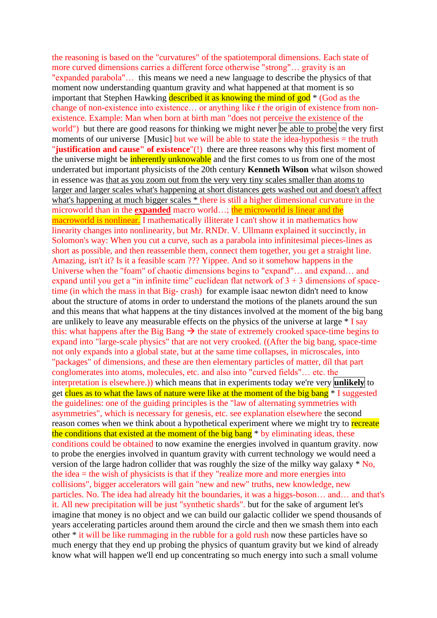the reasoning is based on the "curvatures" of the spatiotemporal dimensions. Each state of more curved dimensions carries a different force otherwise "strong"… gravity is an "expanded parabola"… this means we need a new language to describe the physics of that moment now understanding quantum gravity and what happened at that moment is so important that Stephen Hawking described it as knowing the mind of god<sup>\*</sup> (God as the change of non-existence into existence… or anything like ŕ the origin of existence from nonexistence. Example: Man when born at birth man "does not perceive the existence of the world") but there are good reasons for thinking we might never be able to probe the very first moments of our universe [Music] but we will be able to state the idea-hypothesis = the truth "**justification and cause" of existence**"(!) there are three reasons why this first moment of the universe might be **inherently unknowable** and the first comes to us from one of the most underrated but important physicists of the 20th century **Kenneth Wilson** what wilson showed in essence was that as you zoom out from the very very tiny scales smaller than atoms to larger and larger scales what's happening at short distances gets washed out and doesn't affect what's happening at much bigger scales  $*$  there is still a higher dimensional curvature in the microworld than in the **expanded** macro world…; the microworld is linear and the macroworld is nonlinear. I mathematically illiterate I can't show it in mathematics how linearity changes into nonlinearity, but Mr. RNDr. V. Ullmann explained it succinctly, in Solomon's way: When you cut a curve, such as a parabola into infinitesimal pieces-lines as short as possible, and then reassemble them, connect them together, you get a straight line. Amazing, isn't it? Is it a feasible scam ??? Yippee. And so it somehow happens in the Universe when the "foam" of chaotic dimensions begins to "expand"… and expand… and expand until you get a "in infinite time" euclidean flat network of  $3 + 3$  dimensions of spacetime (in which the mass in that Big- crash) for example isaac newton didn't need to know about the structure of atoms in order to understand the motions of the planets around the sun and this means that what happens at the tiny distances involved at the moment of the big bang are unlikely to leave any measurable effects on the physics of the universe at large  $*$  I say this: what happens after the Big Bang  $\rightarrow$  the state of extremely crooked space-time begins to expand into "large-scale physics" that are not very crooked. ((After the big bang, space-time not only expands into a global state, but at the same time collapses, in microscales, into "packages" of dimensions, and these are then elementary particles of matter, díl that part conglomerates into atoms, molecules, etc. and also into "curved fields"… etc. the interpretation is elsewhere.)) which means that in experiments today we're very **unlikely** to get clues as to what the laws of nature were like at the moment of the big bang  $*$  I suggested the guidelines: one of the guiding principles is the "law of alternating symmetries with asymmetries", which is necessary for genesis, etc. see explanation elsewhere the second reason comes when we think about a hypothetical experiment where we might try to recreate the conditions that existed at the moment of the big bang<sup>\*</sup> by eliminating ideas, these conditions could be obtained to now examine the energies involved in quantum gravity. now to probe the energies involved in quantum gravity with current technology we would need a version of the large hadron collider that was roughly the size of the milky way galaxy \* No, the idea  $=$  the wish of physicists is that if they "realize more and more energies into collisions", bigger accelerators will gain "new and new" truths, new knowledge, new particles. No. The idea had already hit the boundaries, it was a higgs-boson… and… and that's it. All new precipitation will be just "synthetic shards". but for the sake of argument let's imagine that money is no object and we can build our galactic collider we spend thousands of years accelerating particles around them around the circle and then we smash them into each other \* it will be like rummaging in the rubble for a gold rush now these particles have so much energy that they end up probing the physics of quantum gravity but we kind of already know what will happen we'll end up concentrating so much energy into such a small volume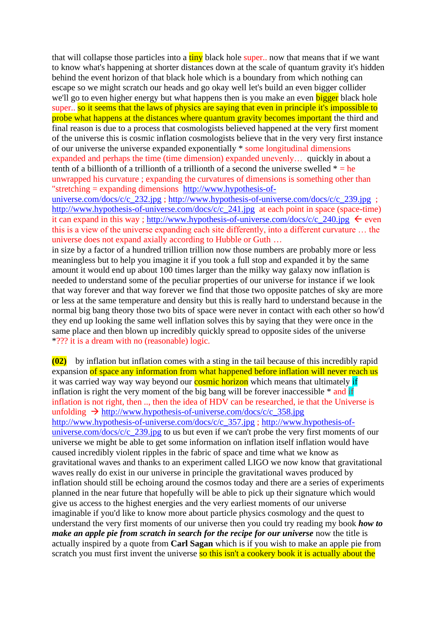that will collapse those particles into a  $\frac{\text{tiny}}{\text{tiny}}$  black hole super.. now that means that if we want to know what's happening at shorter distances down at the scale of quantum gravity it's hidden behind the event horizon of that black hole which is a boundary from which nothing can escape so we might scratch our heads and go okay well let's build an even bigger collider we'll go to even higher energy but what happens then is you make an even bigger black hole super.. so it seems that the laws of physics are saying that even in principle it's impossible to probe what happens at the distances where quantum gravity becomes important the third and final reason is due to a process that cosmologists believed happened at the very first moment of the universe this is cosmic inflation cosmologists believe that in the very very first instance of our universe the universe expanded exponentially \* some longitudinal dimensions expanded and perhaps the time (time dimension) expanded unevenly… quickly in about a tenth of a billionth of a trillionth of a trillionth of a second the universe swelled  $* = he$ unwrapped his curvature ; expanding the curvatures of dimensions is something other than "stretching = expanding dimensions [http://www.hypothesis-of-](http://www.hypothesis-of-universe.com/docs/c/c_232.jpg)

[universe.com/docs/c/c\\_232.jpg](http://www.hypothesis-of-universe.com/docs/c/c_232.jpg) ; [http://www.hypothesis-of-universe.com/docs/c/c\\_239.jpg](http://www.hypothesis-of-universe.com/docs/c/c_239.jpg) ; http://www.hypothesis-of-universe.com/docs/c/c 241.jpg at each point in space (space-time) it can expand in this way; [http://www.hypothesis-of-universe.com/docs/c/c\\_240.jpg](http://www.hypothesis-of-universe.com/docs/c/c_240.jpg)  $\leftarrow$  even this is a view of the universe expanding each site differently, into a different curvature … the universe does not expand axially according to Hubble or Guth …

in size by a factor of a hundred trillion trillion now those numbers are probably more or less meaningless but to help you imagine it if you took a full stop and expanded it by the same amount it would end up about 100 times larger than the milky way galaxy now inflation is needed to understand some of the peculiar properties of our universe for instance if we look that way forever and that way forever we find that those two opposite patches of sky are more or less at the same temperature and density but this is really hard to understand because in the normal big bang theory those two bits of space were never in contact with each other so how'd they end up looking the same well inflation solves this by saying that they were once in the same place and then blown up incredibly quickly spread to opposite sides of the universe \*??? it is a dream with no (reasonable) logic.

**(02)** by inflation but inflation comes with a sting in the tail because of this incredibly rapid expansion of space any information from what happened before inflation will never reach us it was carried way way way beyond our **cosmic horizon** which means that ultimately if inflation is right the very moment of the big bang will be forever inaccessible  $*$  and if inflation is not right, then .., then the idea of HDV can be researched, ie that the Universe is unfolding  $\rightarrow$  http://www.hypothesis-of-universe.com/docs/c/c\_358.jpg [http://www.hypothesis-of-universe.com/docs/c/c\\_357.jpg](http://www.hypothesis-of-universe.com/docs/c/c_357.jpg) ; [http://www.hypothesis-of](http://www.hypothesis-of-universe.com/docs/c/c_239.jpg)universe.com/docs/c/c  $239$ .jpg to us but even if we can't probe the very first moments of our universe we might be able to get some information on inflation itself inflation would have caused incredibly violent ripples in the fabric of space and time what we know as gravitational waves and thanks to an experiment called LIGO we now know that gravitational waves really do exist in our universe in principle the gravitational waves produced by inflation should still be echoing around the cosmos today and there are a series of experiments planned in the near future that hopefully will be able to pick up their signature which would give us access to the highest energies and the very earliest moments of our universe imaginable if you'd like to know more about particle physics cosmology and the quest to understand the very first moments of our universe then you could try reading my book *how to make an apple pie from scratch in search for the recipe for our universe* now the title is actually inspired by a quote from **Carl Sagan** which is if you wish to make an apple pie from scratch you must first invent the universe so this isn't a cookery book it is actually about the